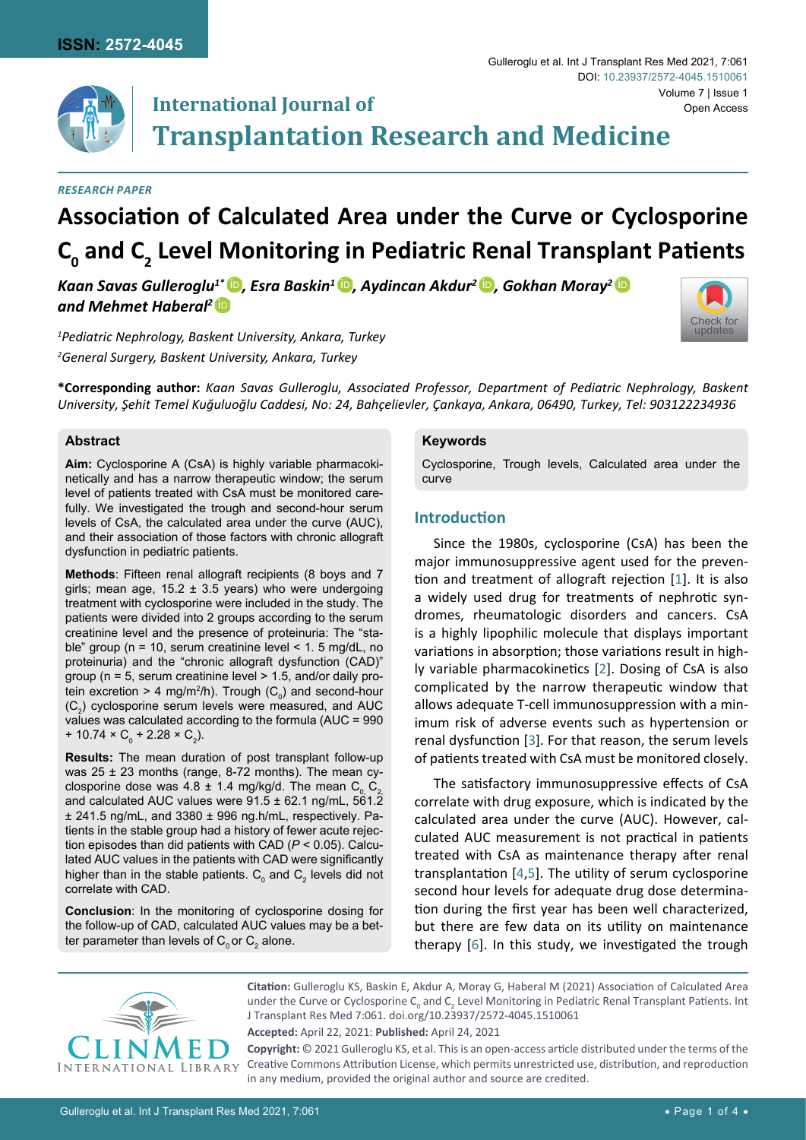

# **Transplantation Research and Medicine**

#### *Research paper*

# **Association of Calculated Area under the Curve or Cyclosporine C0 and C<sup>2</sup> Level Monitoring in Pediatric Renal Transplant Patients**

*Kaan Savas Gulleroglu<sup>1\*</sup> <sup>[iD](https://orcid.org/0000-0003-2498-7287)</sup>, Esra Baskin<sup>1</sup> <sup>iD</sup>, Aydincan Akdur<sup>2</sup> <sup>iD</sup>, Gokhan Moray<sup>2</sup> <sup>iD</sup> and Mehmet Haberal2* [iD](https://orcid.org/0000-0002-3462-7632)

*1 Pediatric Nephrology, Baskent University, Ankara, Turkey 2 General Surgery, Baskent University, Ankara, Turkey*

**International Journal of**



**\*Corresponding author:** *Kaan Savas Gulleroglu, Associated Professor, Department of Pediatric Nephrology, Baskent University, Şehit Temel Kuğuluoğlu Caddesi, No: 24, Bahçelievler, Çankaya, Ankara, 06490, Turkey, Tel: 903122234936*

#### **Abstract**

**Aim:** Cyclosporine A (CsA) is highly variable pharmacokinetically and has a narrow therapeutic window; the serum level of patients treated with CsA must be monitored carefully. We investigated the trough and second-hour serum levels of CsA, the calculated area under the curve (AUC), and their association of those factors with chronic allograft dysfunction in pediatric patients.

**Methods**: Fifteen renal allograft recipients (8 boys and 7 girls; mean age,  $15.2 \pm 3.5$  years) who were undergoing treatment with cyclosporine were included in the study. The patients were divided into 2 groups according to the serum creatinine level and the presence of proteinuria: The "stable" group (n = 10, serum creatinine level < 1. 5 mg/dL, no proteinuria) and the "chronic allograft dysfunction (CAD)" group (n = 5, serum creatinine level > 1.5, and/or daily protein excretion > 4 mg/m²/h). Trough (C $_{\rm o}$ ) and second-hour  $(\mathsf{C}_2)$  cyclosporine serum levels were measured, and AUC values was calculated according to the formula (AUC = 990 + 10.74  $\times$  C<sub>0</sub> + 2.28  $\times$  C<sub>2</sub>).

**Results:** The mean duration of post transplant follow-up was  $25 \pm 23$  months (range, 8-72 months). The mean cyclosporine dose was 4.8  $\pm$  1.4 mg/kg/d. The mean C<sub>0</sub> C<sub>2</sub> and calculated AUC values were  $91.5 \pm 62.1$  ng/mL,  $561.2$ ± 241.5 ng/mL, and 3380 ± 996 ng.h/mL, respectively. Patients in the stable group had a history of fewer acute rejection episodes than did patients with CAD (*P* < 0.05). Calculated AUC values in the patients with CAD were significantly higher than in the stable patients.  $\mathsf{C}_{_{\scriptscriptstyle{0}}}$  and  $\mathsf{C}_{_{\scriptscriptstyle{2}}}$  levels did not correlate with CAD.

**Conclusion**: In the monitoring of cyclosporine dosing for the follow-up of CAD, calculated AUC values may be a better parameter than levels of  $\mathsf{C}_{\scriptscriptstyle{0}}$ or  $\mathsf{C}_{\scriptscriptstyle{2}}$  alone.

#### **Keywords**

Cyclosporine, Trough levels, Calculated area under the curve

# **Introduction**

Since the 1980s, cyclosporine (CsA) has been the major immunosuppressive agent used for the prevention and treatment of allograft rejection [[1](#page-3-0)]. It is also a widely used drug for treatments of nephrotic syndromes, rheumatologic disorders and cancers. CsA is a highly lipophilic molecule that displays important variations in absorption; those variations result in highly variable pharmacokinetics [[2](#page-3-1)]. Dosing of CsA is also complicated by the narrow therapeutic window that allows adequate T-cell immunosuppression with a minimum risk of adverse events such as hypertension or renal dysfunction [\[3\]](#page-3-2). For that reason, the serum levels of patients treated with CsA must be monitored closely.

The satisfactory immunosuppressive effects of CsA correlate with drug exposure, which is indicated by the calculated area under the curve (AUC). However, calculated AUC measurement is not practical in patients treated with CsA as maintenance therapy after renal transplantation [[4](#page-3-3),[5](#page-3-4)]. The utility of serum cyclosporine second hour levels for adequate drug dose determination during the first year has been well characterized, but there are few data on its utility on maintenance therapy [\[6\]](#page-3-5). In this study, we investigated the trough



**Citation:** Gulleroglu KS, Baskin E, Akdur A, Moray G, Haberal M (2021) Association of Calculated Area under the Curve or Cyclosporine  $C_0$  and  $C_2$  Level Monitoring in Pediatric Renal Transplant Patients. Int J Transplant Res Med 7:061. [doi.org/10.23937/2572-4045.1510061](https://doi.org/10.23937/2572-4045.1510061)

**Accepted:** April 22, 2021: **Published:** April 24, 2021

**Copyright:** © 2021 Gulleroglu KS, et al. This is an open-access article distributed under the terms of the Creative Commons Attribution License, which permits unrestricted use, distribution, and reproduction in any medium, provided the original author and source are credited.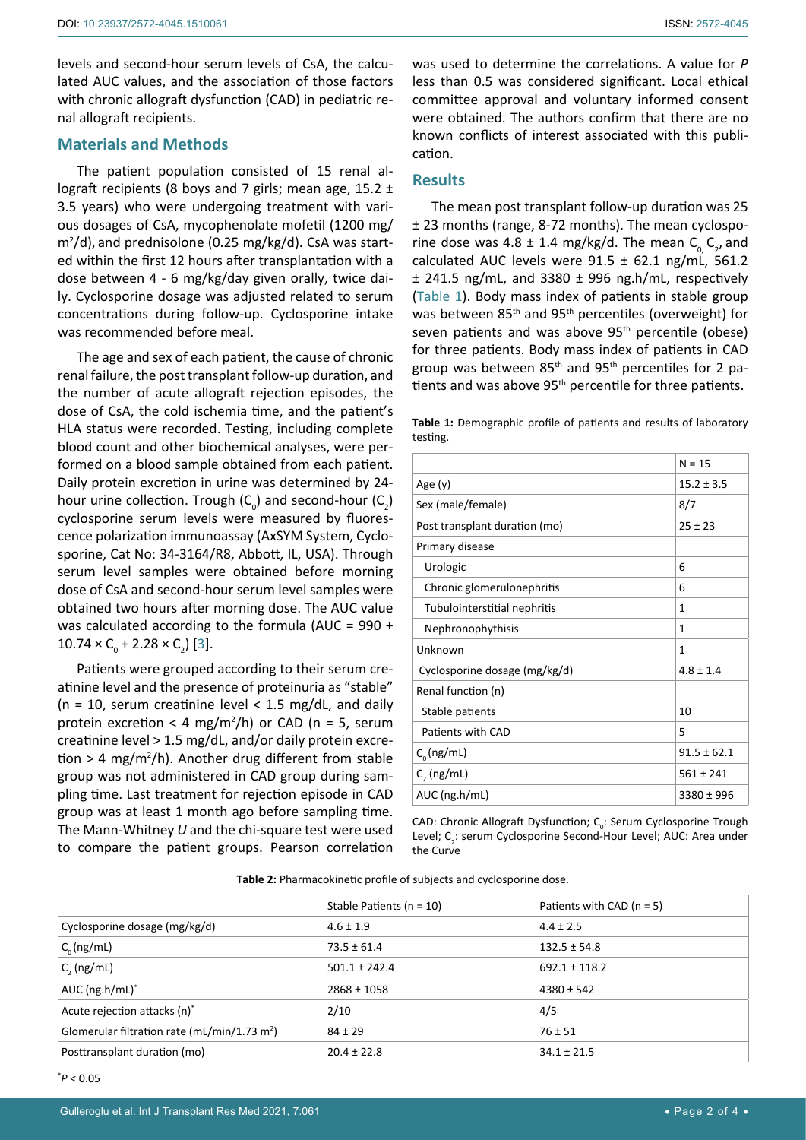levels and second-hour serum levels of CsA, the calculated AUC values, and the association of those factors with chronic allograft dysfunction (CAD) in pediatric renal allograft recipients.

## **Materials and Methods**

The patient population consisted of 15 renal allograft recipients (8 boys and 7 girls; mean age,  $15.2 \pm 1$ 3.5 years) who were undergoing treatment with various dosages of CsA, mycophenolate mofetil (1200 mg/ m<sup>2</sup> /d), and prednisolone (0.25 mg/kg/d). CsA was started within the first 12 hours after transplantation with a dose between 4 - 6 mg/kg/day given orally, twice daily. Cyclosporine dosage was adjusted related to serum concentrations during follow-up. Cyclosporine intake was recommended before meal.

The age and sex of each patient, the cause of chronic renal failure, the post transplant follow-up duration, and the number of acute allograft rejection episodes, the dose of CsA, the cold ischemia time, and the patient's HLA status were recorded. Testing, including complete blood count and other biochemical analyses, were performed on a blood sample obtained from each patient. Daily protein excretion in urine was determined by 24 hour urine collection. Trough  $(C_0)$  and second-hour  $(C_2)$ cyclosporine serum levels were measured by fluorescence polarization immunoassay (AxSYM System, Cyclosporine, Cat No: 34-3164/R8, Abbott, IL, USA). Through serum level samples were obtained before morning dose of CsA and second-hour serum level samples were obtained two hours after morning dose. The AUC value was calculated according to the formula (AUC = 990 +  $10.74 \times C_0 + 2.28 \times C_2$  [[3](#page-3-2)].

Patients were grouped according to their serum creatinine level and the presence of proteinuria as "stable" ( $n = 10$ , serum creatinine level < 1.5 mg/dL, and daily protein excretion < 4 mg/m<sup>2</sup>/h) or CAD (n = 5, serum creatinine level > 1.5 mg/dL, and/or daily protein excretion > 4 mg/m<sup>2</sup>/h). Another drug different from stable group was not administered in CAD group during sampling time. Last treatment for rejection episode in CAD group was at least 1 month ago before sampling time. The Mann-Whitney *U* and the chi-square test were used to compare the patient groups. Pearson correlation

was used to determine the correlations. A value for *P* less than 0.5 was considered significant. Local ethical committee approval and voluntary informed consent were obtained. The authors confirm that there are no known conflicts of interest associated with this publication.

### **Results**

The mean post transplant follow-up duration was 25 ± 23 months (range, 8-72 months). The mean cyclosporine dose was  $4.8 \pm 1.4$  mg/kg/d. The mean  $C_{0}^{\text{}}$ ,  $C_{2}$ , and calculated AUC levels were  $91.5 \pm 62.1$  ng/mL, 561.2 ± 241.5 ng/mL, and 3380 ± 996 ng.h/mL, respectively ([Table 1\)](#page-1-0). Body mass index of patients in stable group was between 85th and 95th percentiles (overweight) for seven patients and was above 95<sup>th</sup> percentile (obese) for three patients. Body mass index of patients in CAD group was between 85th and 95th percentiles for 2 patients and was above 95<sup>th</sup> percentile for three patients.

<span id="page-1-0"></span>**Table 1:** Demographic profile of patients and results of laboratory testing.

|                               | $N = 15$        |
|-------------------------------|-----------------|
| Age $(y)$                     | $15.2 \pm 3.5$  |
| Sex (male/female)             | 8/7             |
| Post transplant duration (mo) | $25 \pm 23$     |
| Primary disease               |                 |
| Urologic                      | 6               |
| Chronic glomerulonephritis    | 6               |
| Tubulointerstitial nephritis  | 1               |
| Nephronophythisis             | 1               |
| Unknown                       | 1               |
| Cyclosporine dosage (mg/kg/d) | $4.8 \pm 1.4$   |
| Renal function (n)            |                 |
| Stable patients               | 10              |
| Patients with CAD             | 5               |
| $C_{0}$ (ng/mL)               | $91.5 \pm 62.1$ |
| $C2$ (ng/mL)                  | $561 \pm 241$   |
| AUC (ng.h/mL)                 | $3380 \pm 996$  |

CAD: Chronic Allograft Dysfunction;  $C_0$ : Serum Cyclosporine Trough Level; C<sub>2</sub>: serum Cyclosporine Second-Hour Level; AUC: Area under the Curve

<span id="page-1-1"></span>

|                                                          | Stable Patients ( $n = 10$ ) | Patients with CAD $(n = 5)$ |
|----------------------------------------------------------|------------------------------|-----------------------------|
| Cyclosporine dosage (mg/kg/d)                            | $4.6 \pm 1.9$                | $4.4 \pm 2.5$               |
| $C_0$ (ng/mL)                                            | $73.5 \pm 61.4$              | $132.5 \pm 54.8$            |
| $C2$ (ng/mL)                                             | $501.1 \pm 242.4$            | $692.1 \pm 118.2$           |
| AUC $(ng.h/mL)^*$                                        | $2868 \pm 1058$              | $4380 \pm 542$              |
| Acute rejection attacks (n)*                             | 2/10                         | 4/5                         |
| Glomerular filtration rate (mL/min/1.73 m <sup>2</sup> ) | $84 + 29$                    | $76 \pm 51$                 |
| Posttransplant duration (mo)                             | $20.4 \pm 22.8$              | $34.1 \pm 21.5$             |

\* *P* < 0.05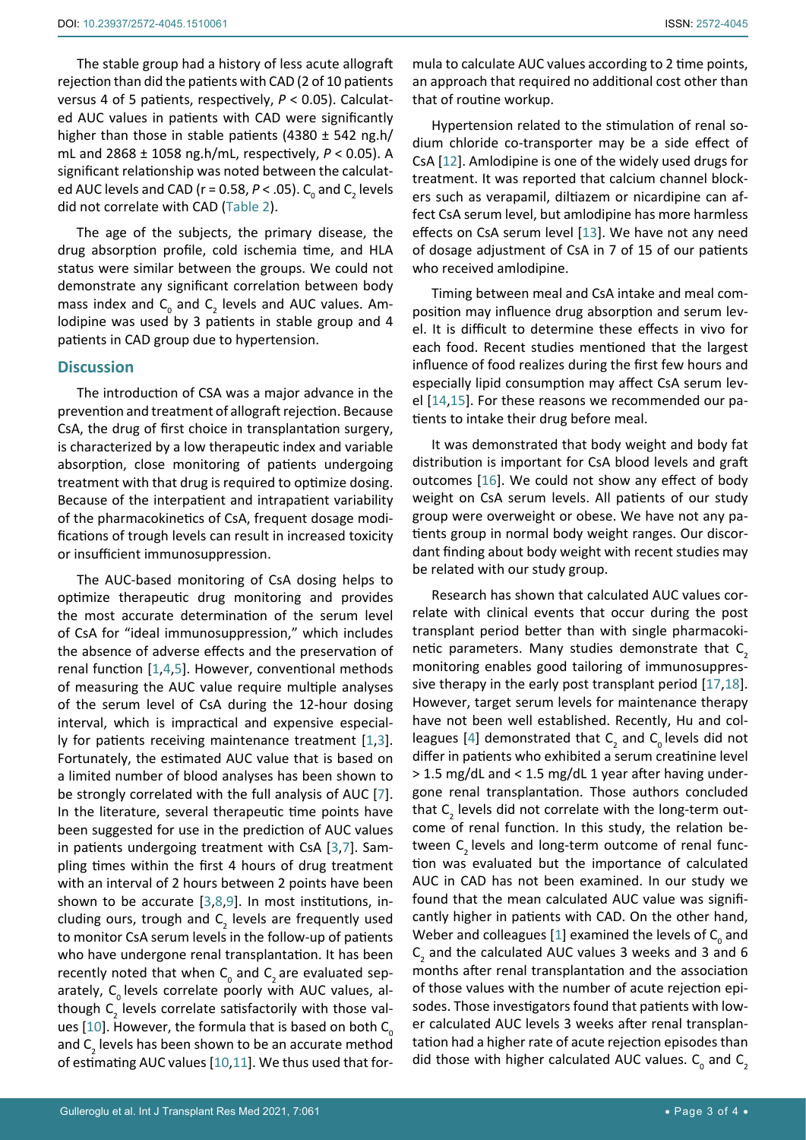The stable group had a history of less acute allograft rejection than did the patients with CAD (2 of 10 patients versus 4 of 5 patients, respectively, *P* < 0.05). Calculated AUC values in patients with CAD were significantly higher than those in stable patients (4380 ± 542 ng.h/ mL and 2868 ± 1058 ng.h/mL, respectively, *P* < 0.05). A significant relationship was noted between the calculated AUC levels and CAD (r = 0.58,  $P$  < .05).  $C_{0}$  and  $C_{2}$  levels did not correlate with CAD [\(Table 2\)](#page-1-1).

The age of the subjects, the primary disease, the drug absorption profile, cold ischemia time, and HLA status were similar between the groups. We could not demonstrate any significant correlation between body mass index and  $\mathsf{C}_{_{\textrm{0}}}$  and  $\mathsf{C}_{_{\textrm{2}}}$  levels and AUC values. Amlodipine was used by 3 patients in stable group and 4 patients in CAD group due to hypertension.

### **Discussion**

The introduction of CSA was a major advance in the prevention and treatment of allograft rejection. Because CsA, the drug of first choice in transplantation surgery, is characterized by a low therapeutic index and variable absorption, close monitoring of patients undergoing treatment with that drug is required to optimize dosing. Because of the interpatient and intrapatient variability of the pharmacokinetics of CsA, frequent dosage modifications of trough levels can result in increased toxicity or insufficient immunosuppression.

The AUC-based monitoring of CsA dosing helps to optimize therapeutic drug monitoring and provides the most accurate determination of the serum level of CsA for "ideal immunosuppression," which includes the absence of adverse effects and the preservation of renal function [[1,](#page-3-0)[4](#page-3-3),[5](#page-3-4)]. However, conventional methods of measuring the AUC value require multiple analyses of the serum level of CsA during the 12-hour dosing interval, which is impractical and expensive especially for patients receiving maintenance treatment [[1](#page-3-0),[3](#page-3-2)]. Fortunately, the estimated AUC value that is based on a limited number of blood analyses has been shown to be strongly correlated with the full analysis of AUC [[7](#page-3-6)]. In the literature, several therapeutic time points have been suggested for use in the prediction of AUC values in patients undergoing treatment with CsA [[3](#page-3-2),[7](#page-3-6)]. Sampling times within the first 4 hours of drug treatment with an interval of 2 hours between 2 points have been shown to be accurate [[3](#page-3-2),[8](#page-3-7),[9\]](#page-3-8). In most institutions, including ours, trough and  $C_2$  levels are frequently used to monitor CsA serum levels in the follow-up of patients who have undergone renal transplantation. It has been recently noted that when  $\mathsf{C}_{_{\textrm{O}}}$  and  $\mathsf{C}_{_{\textrm{2}}}$  are evaluated separately,  $C_0$  levels correlate poorly with AUC values, although  $\textsf{C}_\textsf{2}$  levels correlate satisfactorily with those val-ues [[10](#page-3-9)]. However, the formula that is based on both  $C_{0}$ and  $\mathsf{C}_\mathsf{2}$  levels has been shown to be an accurate method of estimating AUC values [[10](#page-3-9),[11](#page-3-10)]. We thus used that for-

mula to calculate AUC values according to 2 time points, an approach that required no additional cost other than that of routine workup.

Hypertension related to the stimulation of renal sodium chloride co-transporter may be a side effect of CsA [[12](#page-3-11)]. Amlodipine is one of the widely used drugs for treatment. It was reported that calcium channel blockers such as verapamil, diltiazem or nicardipine can affect CsA serum level, but amlodipine has more harmless effects on CsA serum level [\[13](#page-3-12)]. We have not any need of dosage adjustment of CsA in 7 of 15 of our patients who received amlodipine.

Timing between meal and CsA intake and meal composition may influence drug absorption and serum level. It is difficult to determine these effects in vivo for each food. Recent studies mentioned that the largest influence of food realizes during the first few hours and especially lipid consumption may affect CsA serum level [[14](#page-3-13),[15\]](#page-3-14). For these reasons we recommended our patients to intake their drug before meal.

It was demonstrated that body weight and body fat distribution is important for CsA blood levels and graft outcomes [[16\]](#page-3-15). We could not show any effect of body weight on CsA serum levels. All patients of our study group were overweight or obese. We have not any patients group in normal body weight ranges. Our discordant finding about body weight with recent studies may be related with our study group.

Research has shown that calculated AUC values correlate with clinical events that occur during the post transplant period better than with single pharmacokinetic parameters. Many studies demonstrate that  $C<sub>2</sub>$ monitoring enables good tailoring of immunosuppressive therapy in the early post transplant period [[17](#page-3-16),[18\]](#page-3-17). However, target serum levels for maintenance therapy have not been well established. Recently, Hu and col-leagues [[4](#page-3-3)] demonstrated that  $C_2$  and  $C_0$  levels did not differ in patients who exhibited a serum creatinine level > 1.5 mg/dL and < 1.5 mg/dL 1 year after having undergone renal transplantation. Those authors concluded that  $C_2$  levels did not correlate with the long-term outcome of renal function. In this study, the relation between C<sub>2</sub> levels and long-term outcome of renal function was evaluated but the importance of calculated AUC in CAD has not been examined. In our study we found that the mean calculated AUC value was significantly higher in patients with CAD. On the other hand, Weber and colleagues [[1](#page-3-0)] examined the levels of  $C_{0}$  and  $C_2$  and the calculated AUC values 3 weeks and 3 and 6 months after renal transplantation and the association of those values with the number of acute rejection episodes. Those investigators found that patients with lower calculated AUC levels 3 weeks after renal transplantation had a higher rate of acute rejection episodes than did those with higher calculated AUC values.  $C_0$  and  $C_2$